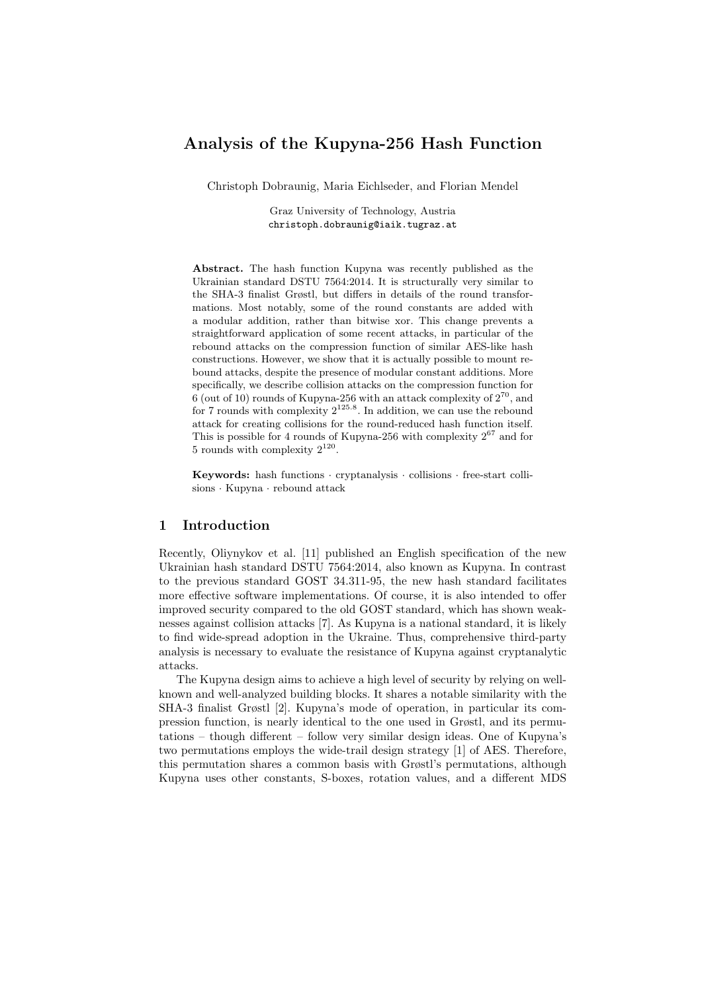# Analysis of the Kupyna-256 Hash Function

Christoph Dobraunig, Maria Eichlseder, and Florian Mendel

Graz University of Technology, Austria christoph.dobraunig@iaik.tugraz.at

Abstract. The hash function Kupyna was recently published as the Ukrainian standard DSTU 7564:2014. It is structurally very similar to the SHA-3 finalist Grøstl, but differs in details of the round transformations. Most notably, some of the round constants are added with a modular addition, rather than bitwise xor. This change prevents a straightforward application of some recent attacks, in particular of the rebound attacks on the compression function of similar AES-like hash constructions. However, we show that it is actually possible to mount rebound attacks, despite the presence of modular constant additions. More specifically, we describe collision attacks on the compression function for 6 (out of 10) rounds of Kupyna-256 with an attack complexity of  $2^{70}$ , and for 7 rounds with complexity  $2^{125.8}$ . In addition, we can use the rebound attack for creating collisions for the round-reduced hash function itself. This is possible for 4 rounds of Kupyna-256 with complexity  $2^{67}$  and for 5 rounds with complexity  $2^{120}$ .

Keywords: hash functions · cryptanalysis · collisions · free-start collisions · Kupyna · rebound attack

### 1 Introduction

Recently, Oliynykov et al. [11] published an English specification of the new Ukrainian hash standard DSTU 7564:2014, also known as Kupyna. In contrast to the previous standard GOST 34.311-95, the new hash standard facilitates more effective software implementations. Of course, it is also intended to offer improved security compared to the old GOST standard, which has shown weaknesses against collision attacks [7]. As Kupyna is a national standard, it is likely to find wide-spread adoption in the Ukraine. Thus, comprehensive third-party analysis is necessary to evaluate the resistance of Kupyna against cryptanalytic attacks.

The Kupyna design aims to achieve a high level of security by relying on wellknown and well-analyzed building blocks. It shares a notable similarity with the SHA-3 finalist Grøstl [2]. Kupyna's mode of operation, in particular its compression function, is nearly identical to the one used in Grøstl, and its permutations – though different – follow very similar design ideas. One of Kupyna's two permutations employs the wide-trail design strategy [1] of AES. Therefore, this permutation shares a common basis with Grøstl's permutations, although Kupyna uses other constants, S-boxes, rotation values, and a different MDS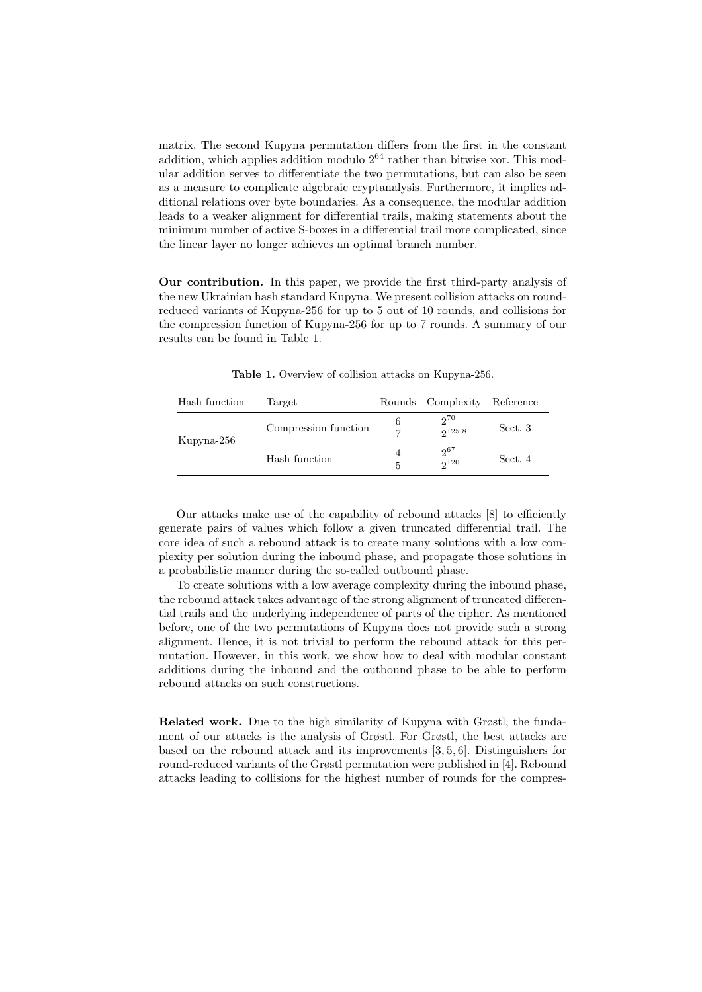matrix. The second Kupyna permutation differs from the first in the constant addition, which applies addition modulo  $2^{64}$  rather than bitwise xor. This modular addition serves to differentiate the two permutations, but can also be seen as a measure to complicate algebraic cryptanalysis. Furthermore, it implies additional relations over byte boundaries. As a consequence, the modular addition leads to a weaker alignment for differential trails, making statements about the minimum number of active S-boxes in a differential trail more complicated, since the linear layer no longer achieves an optimal branch number.

Our contribution. In this paper, we provide the first third-party analysis of the new Ukrainian hash standard Kupyna. We present collision attacks on roundreduced variants of Kupyna-256 for up to 5 out of 10 rounds, and collisions for the compression function of Kupyna-256 for up to 7 rounds. A summary of our results can be found in Table 1.

| Hash function | Target               | Rounds | Complexity            | Reference |
|---------------|----------------------|--------|-----------------------|-----------|
| Kupyna-256    | Compression function | 6<br>7 | $2^{70}$<br>2125.8    | Sect. 3   |
|               | Hash function        | 5      | $2^{67}$<br>$2^{120}$ | Sect. 4   |

Table 1. Overview of collision attacks on Kupyna-256.

Our attacks make use of the capability of rebound attacks [8] to efficiently generate pairs of values which follow a given truncated differential trail. The core idea of such a rebound attack is to create many solutions with a low complexity per solution during the inbound phase, and propagate those solutions in a probabilistic manner during the so-called outbound phase.

To create solutions with a low average complexity during the inbound phase, the rebound attack takes advantage of the strong alignment of truncated differential trails and the underlying independence of parts of the cipher. As mentioned before, one of the two permutations of Kupyna does not provide such a strong alignment. Hence, it is not trivial to perform the rebound attack for this permutation. However, in this work, we show how to deal with modular constant additions during the inbound and the outbound phase to be able to perform rebound attacks on such constructions.

Related work. Due to the high similarity of Kupyna with Grøstl, the fundament of our attacks is the analysis of Grøstl. For Grøstl, the best attacks are based on the rebound attack and its improvements [3, 5, 6]. Distinguishers for round-reduced variants of the Grøstl permutation were published in [4]. Rebound attacks leading to collisions for the highest number of rounds for the compres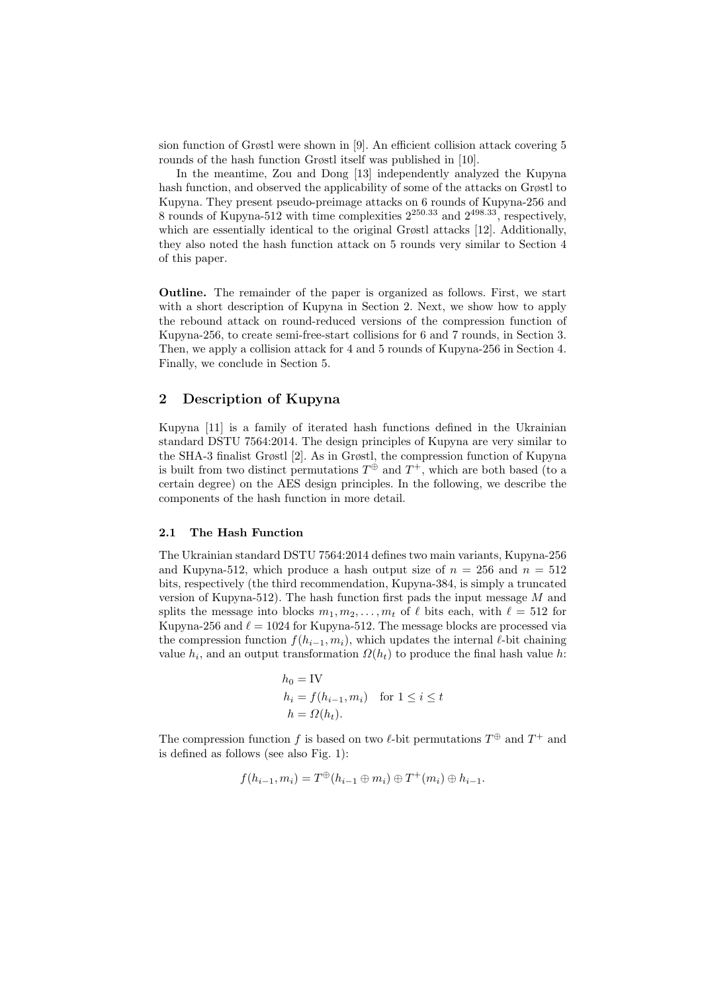sion function of Grøstl were shown in [9]. An efficient collision attack covering 5 rounds of the hash function Grøstl itself was published in [10].

In the meantime, Zou and Dong [13] independently analyzed the Kupyna hash function, and observed the applicability of some of the attacks on Grøstl to Kupyna. They present pseudo-preimage attacks on 6 rounds of Kupyna-256 and 8 rounds of Kupyna-512 with time complexities  $2^{250.33}$  and  $2^{498.33}$ , respectively, which are essentially identical to the original Grøstl attacks [12]. Additionally, they also noted the hash function attack on 5 rounds very similar to Section 4 of this paper.

Outline. The remainder of the paper is organized as follows. First, we start with a short description of Kupyna in Section 2. Next, we show how to apply the rebound attack on round-reduced versions of the compression function of Kupyna-256, to create semi-free-start collisions for 6 and 7 rounds, in Section 3. Then, we apply a collision attack for 4 and 5 rounds of Kupyna-256 in Section 4. Finally, we conclude in Section 5.

# 2 Description of Kupyna

Kupyna [11] is a family of iterated hash functions defined in the Ukrainian standard DSTU 7564:2014. The design principles of Kupyna are very similar to the SHA-3 finalist Grøstl [2]. As in Grøstl, the compression function of Kupyna is built from two distinct permutations  $T^{\oplus}$  and  $T^+$ , which are both based (to a certain degree) on the AES design principles. In the following, we describe the components of the hash function in more detail.

#### 2.1 The Hash Function

The Ukrainian standard DSTU 7564:2014 defines two main variants, Kupyna-256 and Kupyna-512, which produce a hash output size of  $n = 256$  and  $n = 512$ bits, respectively (the third recommendation, Kupyna-384, is simply a truncated version of Kupyna-512). The hash function first pads the input message  $M$  and splits the message into blocks  $m_1, m_2, \ldots, m_t$  of  $\ell$  bits each, with  $\ell = 512$  for Kupyna-256 and  $\ell = 1024$  for Kupyna-512. The message blocks are processed via the compression function  $f(h_{i-1}, m_i)$ , which updates the internal  $\ell$ -bit chaining value  $h_i$ , and an output transformation  $\Omega(h_t)$  to produce the final hash value h:

$$
h_0 = \text{IV}
$$
  
\n
$$
h_i = f(h_{i-1}, m_i) \quad \text{for } 1 \le i \le t
$$
  
\n
$$
h = \Omega(h_t).
$$

The compression function f is based on two  $\ell$ -bit permutations  $T^{\oplus}$  and  $T^+$  and is defined as follows (see also Fig. 1):

$$
f(h_{i-1}, m_i) = T^{\oplus}(h_{i-1} \oplus m_i) \oplus T^+(m_i) \oplus h_{i-1}.
$$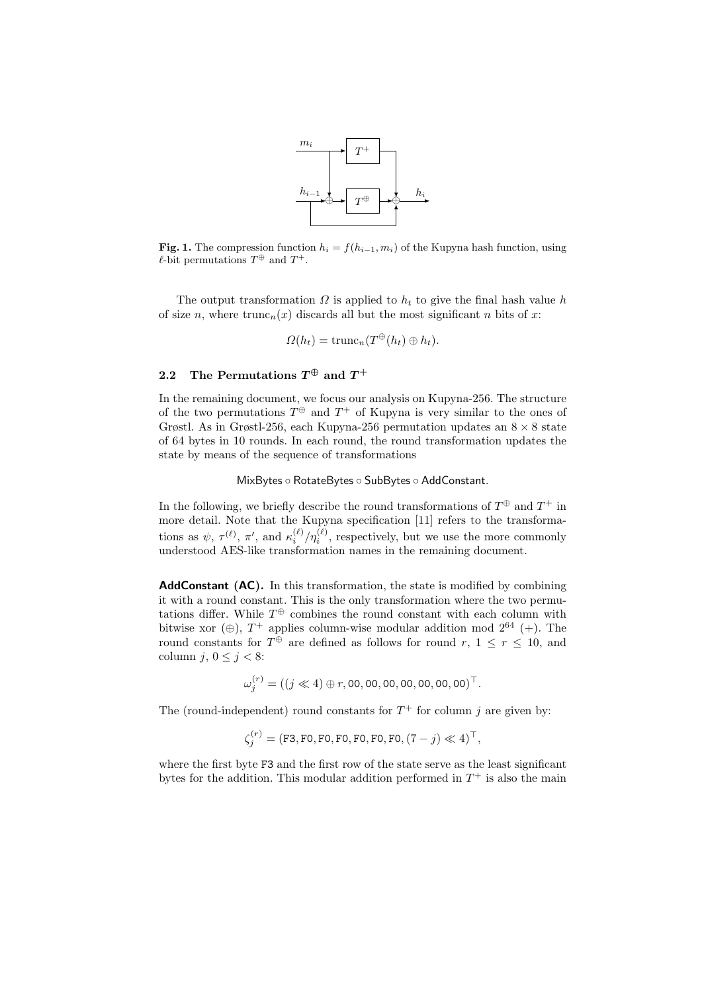

Fig. 1. The compression function  $h_i = f(h_{i-1}, m_i)$  of the Kupyna hash function, using  $\ell$ -bit permutations  $T^{\oplus}$  and  $T^+$ .

The output transformation  $\Omega$  is applied to  $h_t$  to give the final hash value h of size n, where  $trunc_n(x)$  discards all but the most significant n bits of x:

$$
\Omega(h_t) = \operatorname{trunc}_n(T^{\oplus}(h_t) \oplus h_t).
$$

# 2.2 The Permutations  $T^\oplus$  and  $T^+$

In the remaining document, we focus our analysis on Kupyna-256. The structure of the two permutations  $T^{\oplus}$  and  $T^+$  of Kupyna is very similar to the ones of Grøstl. As in Grøstl-256, each Kupyna-256 permutation updates an  $8 \times 8$  state of 64 bytes in 10 rounds. In each round, the round transformation updates the state by means of the sequence of transformations

MixBytes ◦ RotateBytes ◦ SubBytes ◦ AddConstant.

In the following, we briefly describe the round transformations of  $T^{\oplus}$  and  $T^{+}$  in more detail. Note that the Kupyna specification [11] refers to the transformations as  $\psi, \tau^{(\ell)}, \pi',$  and  $\kappa_i^{(\ell)}/\eta_i^{(\ell)}$ , respectively, but we use the more commonly understood AES-like transformation names in the remaining document.

AddConstant (AC). In this transformation, the state is modified by combining it with a round constant. This is the only transformation where the two permutations differ. While  $T^{\oplus}$  combines the round constant with each column with bitwise xor  $(\oplus)$ ,  $T^+$  applies column-wise modular addition mod  $2^{64}$  (+). The round constants for  $T^{\oplus}$  are defined as follows for round  $r, 1 \leq r \leq 10$ , and column j,  $0 \leq j < 8$ :

$$
\omega_j^{(r)} = ((j \ll 4) \oplus r, 00, 00, 00, 00, 00, 00, 00)^{\top}.
$$

The (round-independent) round constants for  $T^+$  for column j are given by:

$$
\zeta_j^{(r)} = (\mathtt{F3}, \mathtt{F0}, \mathtt{F0}, \mathtt{F0}, \mathtt{F0}, \mathtt{F0}, \mathtt{(\7- j)} \ll 4)^\top,
$$

where the first byte F3 and the first row of the state serve as the least significant bytes for the addition. This modular addition performed in  $T^+$  is also the main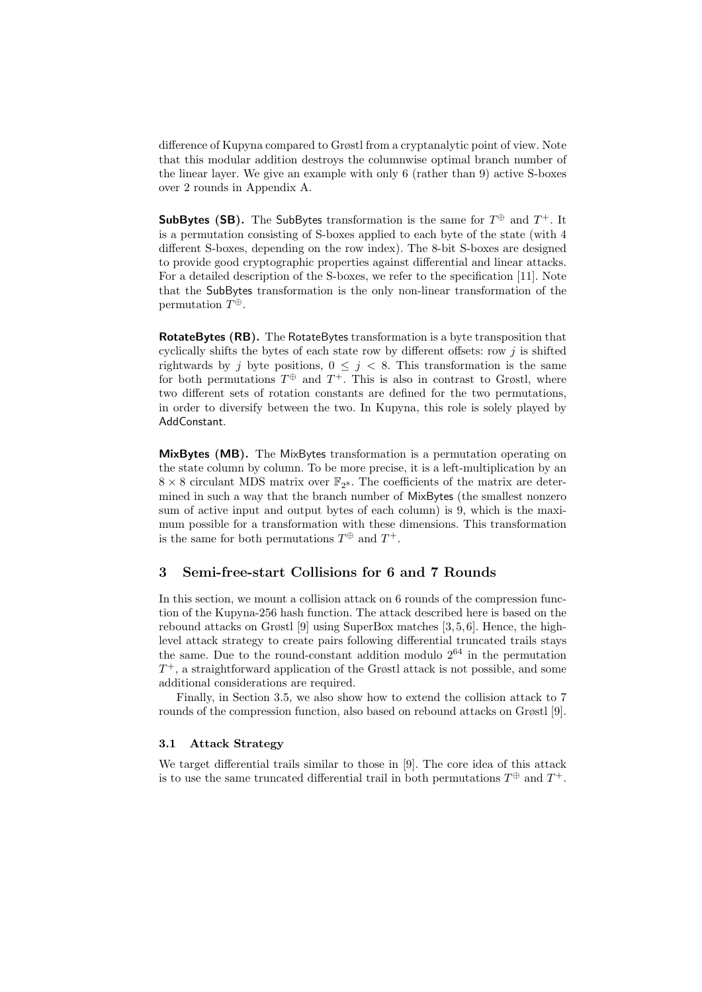difference of Kupyna compared to Grøstl from a cryptanalytic point of view. Note that this modular addition destroys the columnwise optimal branch number of the linear layer. We give an example with only 6 (rather than 9) active S-boxes over 2 rounds in Appendix A.

SubBytes (SB). The SubBytes transformation is the same for  $T^{\oplus}$  and  $T^+$ . It is a permutation consisting of S-boxes applied to each byte of the state (with 4 different S-boxes, depending on the row index). The 8-bit S-boxes are designed to provide good cryptographic properties against differential and linear attacks. For a detailed description of the S-boxes, we refer to the specification [11]. Note that the SubBytes transformation is the only non-linear transformation of the permutation  $T^{\oplus}$ .

RotateBytes (RB). The RotateBytes transformation is a byte transposition that cyclically shifts the bytes of each state row by different offsets: row  $j$  is shifted rightwards by j byte positions,  $0 \leq j \leq 8$ . This transformation is the same for both permutations  $T^{\oplus}$  and  $T^+$ . This is also in contrast to Grøstl, where two different sets of rotation constants are defined for the two permutations, in order to diversify between the two. In Kupyna, this role is solely played by AddConstant.

MixBytes (MB). The MixBytes transformation is a permutation operating on the state column by column. To be more precise, it is a left-multiplication by an  $8 \times 8$  circulant MDS matrix over  $\mathbb{F}_{2^8}$ . The coefficients of the matrix are determined in such a way that the branch number of MixBytes (the smallest nonzero sum of active input and output bytes of each column) is 9, which is the maximum possible for a transformation with these dimensions. This transformation is the same for both permutations  $T^{\oplus}$  and  $T^{\perp}$ .

# 3 Semi-free-start Collisions for 6 and 7 Rounds

In this section, we mount a collision attack on 6 rounds of the compression function of the Kupyna-256 hash function. The attack described here is based on the rebound attacks on Grøstl [9] using SuperBox matches [3, 5, 6]. Hence, the highlevel attack strategy to create pairs following differential truncated trails stays the same. Due to the round-constant addition modulo  $2^{64}$  in the permutation  $T^+$ , a straightforward application of the Grøstl attack is not possible, and some additional considerations are required.

Finally, in Section 3.5, we also show how to extend the collision attack to 7 rounds of the compression function, also based on rebound attacks on Grøstl [9].

#### 3.1 Attack Strategy

We target differential trails similar to those in [9]. The core idea of this attack is to use the same truncated differential trail in both permutations  $T^{\oplus}$  and  $T^+$ .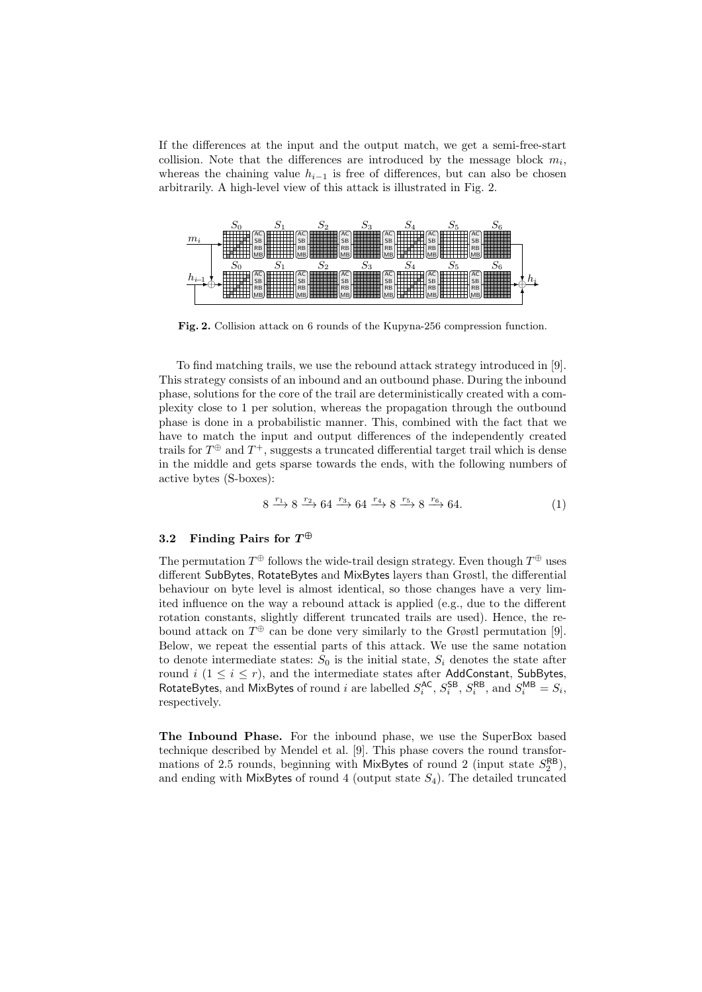If the differences at the input and the output match, we get a semi-free-start collision. Note that the differences are introduced by the message block  $m_i$ , whereas the chaining value  $h_{i-1}$  is free of differences, but can also be chosen arbitrarily. A high-level view of this attack is illustrated in Fig. 2.



Fig. 2. Collision attack on 6 rounds of the Kupyna-256 compression function.

To find matching trails, we use the rebound attack strategy introduced in [9]. This strategy consists of an inbound and an outbound phase. During the inbound phase, solutions for the core of the trail are deterministically created with a complexity close to 1 per solution, whereas the propagation through the outbound phase is done in a probabilistic manner. This, combined with the fact that we have to match the input and output differences of the independently created trails for  $T^{\oplus}$  and  $T^{+}$ , suggests a truncated differential target trail which is dense in the middle and gets sparse towards the ends, with the following numbers of active bytes (S-boxes):

$$
8 \xrightarrow{r_1} 8 \xrightarrow{r_2} 64 \xrightarrow{r_3} 64 \xrightarrow{r_4} 8 \xrightarrow{r_5} 8 \xrightarrow{r_6} 64. \tag{1}
$$

# 3.2 Finding Pairs for  $T^\oplus$

The permutation  $T^{\oplus}$  follows the wide-trail design strategy. Even though  $T^{\oplus}$  uses different SubBytes, RotateBytes and MixBytes layers than Grøstl, the differential behaviour on byte level is almost identical, so those changes have a very limited influence on the way a rebound attack is applied (e.g., due to the different rotation constants, slightly different truncated trails are used). Hence, the rebound attack on  $T^{\oplus}$  can be done very similarly to the Grøstl permutation [9]. Below, we repeat the essential parts of this attack. We use the same notation to denote intermediate states:  $S_0$  is the initial state,  $S_i$  denotes the state after round  $i$  ( $1 \leq i \leq r$ ), and the intermediate states after AddConstant, SubBytes, RotateBytes, and MixBytes of round *i* are labelled  $S_i^{AC}$ ,  $S_i^{SB}$ ,  $S_i^{RB}$ , and  $S_i^{MB} = S_i$ , respectively.

The Inbound Phase. For the inbound phase, we use the SuperBox based technique described by Mendel et al. [9]. This phase covers the round transformations of 2.5 rounds, beginning with MixBytes of round 2 (input state  $S_2^{\text{RB}}$ ), and ending with MixBytes of round 4 (output state  $S_4$ ). The detailed truncated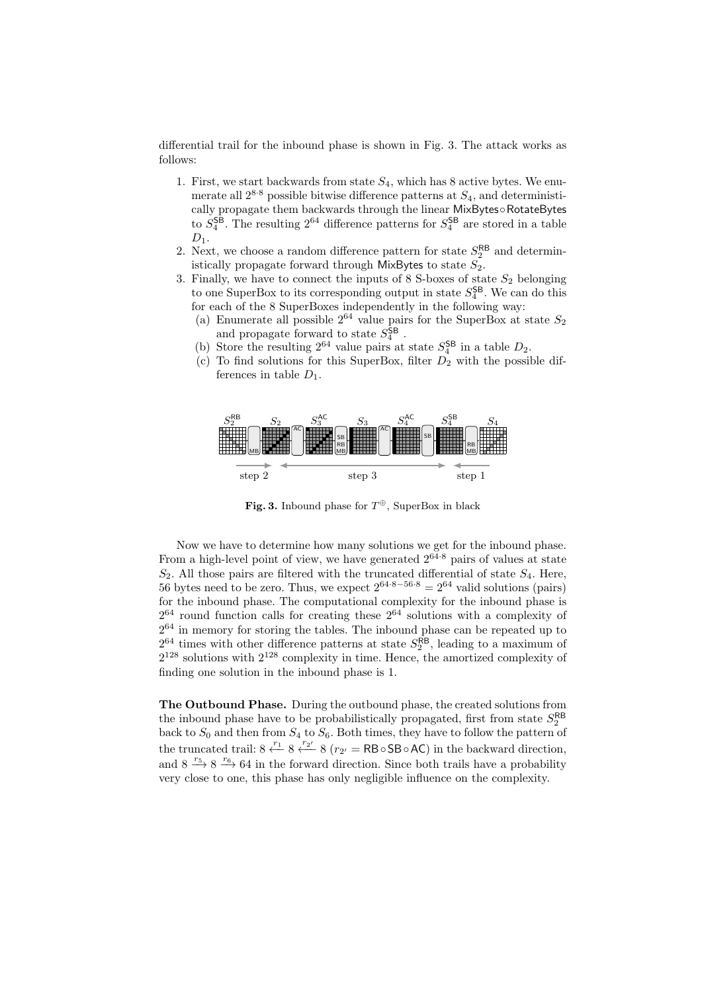differential trail for the inbound phase is shown in Fig. 3. The attack works as follows:

- 1. First, we start backwards from state  $S_4$ , which has 8 active bytes. We enumerate all  $2^{8.8}$  possible bitwise difference patterns at  $S_4$ , and deterministically propagate them backwards through the linear MixBytes◦RotateBytes to  $S_4^{\mathsf{SB}}$ . The resulting  $2^{64}$  difference patterns for  $S_4^{\mathsf{SB}}$  are stored in a table  $D_1$ .
- 2. Next, we choose a random difference pattern for state  $S_2^{\mathsf{RB}}$  and deterministically propagate forward through MixBytes to state  $S_2$ .
- 3. Finally, we have to connect the inputs of 8 S-boxes of state  $S_2$  belonging to one SuperBox to its corresponding output in state  $S_4^{\text{SB}}$ . We can do this for each of the 8 SuperBoxes independently in the following way:
	- (a) Enumerate all possible  $2^{64}$  value pairs for the SuperBox at state  $S_2$ and propagate forward to state  $S_4^{\text{SB}}$ .
	- (b) Store the resulting  $2^{64}$  value pairs at state  $S_4^{\text{SB}}$  in a table  $D_2$ .
	- (c) To find solutions for this SuperBox, filter  $D_2$  with the possible differences in table  $D_1$ .



Fig. 3. Inbound phase for  $T^{\oplus}$ , SuperBox in black

Now we have to determine how many solutions we get for the inbound phase. From a high-level point of view, we have generated  $2^{64.8}$  pairs of values at state  $S_2$ . All those pairs are filtered with the truncated differential of state  $S_4$ . Here, 56 bytes need to be zero. Thus, we expect  $2^{64 \cdot 8 - 56 \cdot 8} = 2^{64}$  valid solutions (pairs) for the inbound phase. The computational complexity for the inbound phase is  $2^{64}$  round function calls for creating these  $2^{64}$  solutions with a complexity of  $2^{64}$  in memory for storing the tables. The inbound phase can be repeated up to  $2^{64}$  times with other difference patterns at state  $S_2^{\text{RB}}$ , leading to a maximum of  $2^{128}$  solutions with  $2^{128}$  complexity in time. Hence, the amortized complexity of finding one solution in the inbound phase is 1.

The Outbound Phase. During the outbound phase, the created solutions from the inbound phase have to be probabilistically propagated, first from state  $S_2^{\text{RB}}$ back to  $S_0$  and then from  $S_4$  to  $S_6$ . Both times, they have to follow the pattern of the truncated trail:  $8 \stackrel{r_1}{\leftarrow} 8 \stackrel{r_2}{\leftarrow} 8 (r_{2'} = RB ∘ SB ∘ AC)$  in the backward direction, and  $8 \xrightarrow{r_5} 8 \xrightarrow{r_6} 64$  in the forward direction. Since both trails have a probability very close to one, this phase has only negligible influence on the complexity.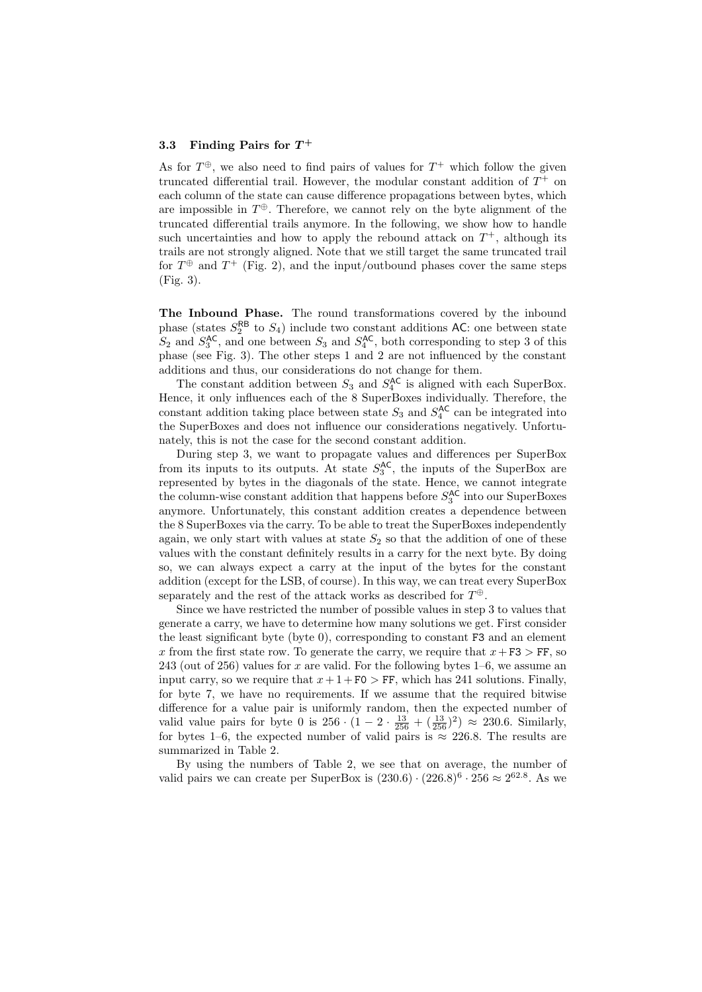## $3.3$  Finding Pairs for  $T^+$

As for  $T^{\oplus}$ , we also need to find pairs of values for  $T^+$  which follow the given truncated differential trail. However, the modular constant addition of  $T^+$  on each column of the state can cause difference propagations between bytes, which are impossible in  $T^{\oplus}$ . Therefore, we cannot rely on the byte alignment of the truncated differential trails anymore. In the following, we show how to handle such uncertainties and how to apply the rebound attack on  $T^+$ , although its trails are not strongly aligned. Note that we still target the same truncated trail for  $T^{\oplus}$  and  $T^+$  (Fig. 2), and the input/outbound phases cover the same steps (Fig. 3).

The Inbound Phase. The round transformations covered by the inbound phase (states  $S_2^{\text{RB}}$  to  $S_4$ ) include two constant additions AC: one between state  $S_2$  and  $S_3^{\text{AC}}$ , and one between  $S_3$  and  $S_4^{\text{AC}}$ , both corresponding to step 3 of this phase (see Fig. 3). The other steps 1 and 2 are not influenced by the constant additions and thus, our considerations do not change for them.

The constant addition between  $S_3$  and  $S_4^{\text{AC}}$  is aligned with each SuperBox. Hence, it only influences each of the 8 SuperBoxes individually. Therefore, the constant addition taking place between state  $S_3$  and  $S_4^{\text{AC}}$  can be integrated into the SuperBoxes and does not influence our considerations negatively. Unfortunately, this is not the case for the second constant addition.

During step 3, we want to propagate values and differences per SuperBox from its inputs to its outputs. At state  $S_3^{\text{AC}}$ , the inputs of the SuperBox are represented by bytes in the diagonals of the state. Hence, we cannot integrate the column-wise constant addition that happens before  $S_3^{\text{AC}}$  into our SuperBoxes anymore. Unfortunately, this constant addition creates a dependence between the 8 SuperBoxes via the carry. To be able to treat the SuperBoxes independently again, we only start with values at state  $S_2$  so that the addition of one of these values with the constant definitely results in a carry for the next byte. By doing so, we can always expect a carry at the input of the bytes for the constant addition (except for the LSB, of course). In this way, we can treat every SuperBox separately and the rest of the attack works as described for  $T^{\oplus}$ .

Since we have restricted the number of possible values in step 3 to values that generate a carry, we have to determine how many solutions we get. First consider the least significant byte (byte 0), corresponding to constant F3 and an element x from the first state row. To generate the carry, we require that  $x + F3 > FF$ , so 243 (out of 256) values for x are valid. For the following bytes  $1-6$ , we assume an input carry, so we require that  $x+1+F0 > FF$ , which has 241 solutions. Finally, for byte 7, we have no requirements. If we assume that the required bitwise difference for a value pair is uniformly random, then the expected number of valid value pairs for byte 0 is  $256 \cdot (1 - 2 \cdot \frac{13}{256} + (\frac{13}{256})^2) \approx 230.6$ . Similarly, for bytes 1–6, the expected number of valid pairs is  $\approx 226.8$ . The results are summarized in Table 2.

By using the numbers of Table 2, we see that on average, the number of valid pairs we can create per SuperBox is  $(230.6) \cdot (226.8)^6 \cdot 256 \approx 2^{62.8}$ . As we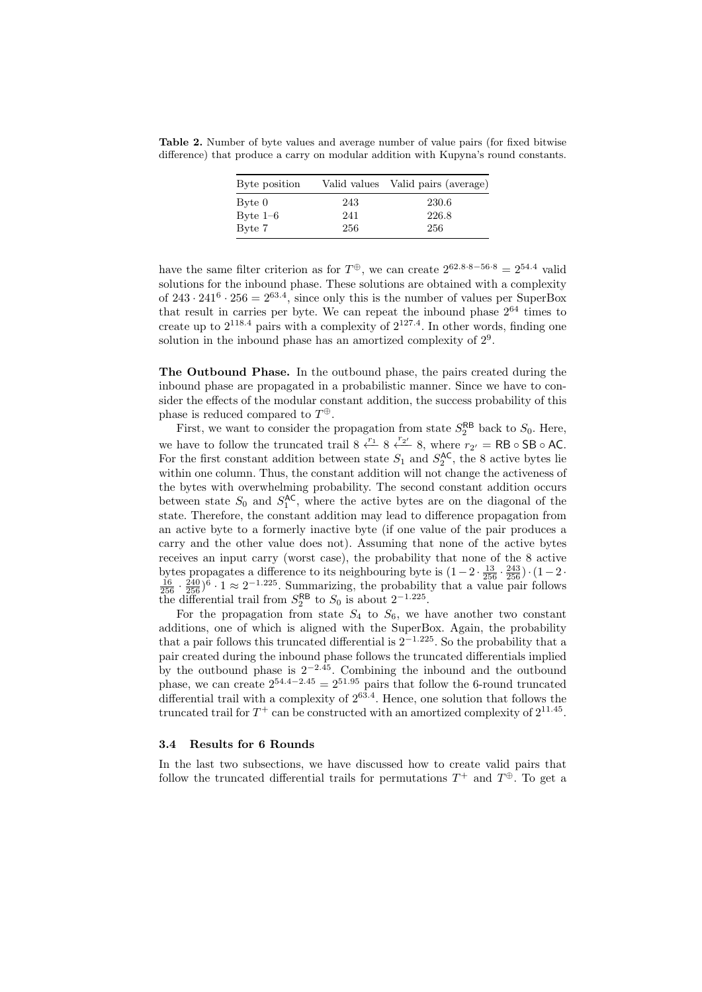Table 2. Number of byte values and average number of value pairs (for fixed bitwise difference) that produce a carry on modular addition with Kupyna's round constants.

| Byte position |     | Valid values Valid pairs (average) |
|---------------|-----|------------------------------------|
| Byte 0        | 243 | 230.6                              |
| Byte $1-6$    | 241 | 226.8                              |
| Byte 7        | 256 | 256                                |

have the same filter criterion as for  $T^{\oplus}$ , we can create  $2^{62.8 \cdot 8 - 56 \cdot 8} = 2^{54.4}$  valid solutions for the inbound phase. These solutions are obtained with a complexity of  $243 \cdot 241^6 \cdot 256 = 2^{63.4}$ , since only this is the number of values per SuperBox that result in carries per byte. We can repeat the inbound phase  $2^{64}$  times to create up to  $2^{118.4}$  pairs with a complexity of  $2^{127.4}$ . In other words, finding one solution in the inbound phase has an amortized complexity of  $2^9$ .

The Outbound Phase. In the outbound phase, the pairs created during the inbound phase are propagated in a probabilistic manner. Since we have to consider the effects of the modular constant addition, the success probability of this phase is reduced compared to  $T^{\oplus}$ .

First, we want to consider the propagation from state  $S_2^{\text{RB}}$  back to  $S_0$ . Here, we have to follow the truncated trail 8  $\frac{r_1}{r_1}$  8  $\frac{r_2}{r_2}$  8, where  $r_{2'} = \text{RB} \circ \text{SB} \circ \text{AC}$ . For the first constant addition between state  $S_1$  and  $S_2^{\text{AC}}$ , the 8 active bytes lie within one column. Thus, the constant addition will not change the activeness of the bytes with overwhelming probability. The second constant addition occurs between state  $S_0$  and  $S_1^{\text{AC}}$ , where the active bytes are on the diagonal of the state. Therefore, the constant addition may lead to difference propagation from an active byte to a formerly inactive byte (if one value of the pair produces a carry and the other value does not). Assuming that none of the active bytes receives an input carry (worst case), the probability that none of the 8 active bytes propagates a difference to its neighbouring byte is  $(1-2 \cdot \frac{13}{256} \cdot \frac{243}{256}) \cdot (1-2 \cdot \frac{16}{256} \cdot \frac{240}{256})^6 \cdot 1 \approx 2^{-1.225}$ . Summarizing, the probability that a value pair follows the differential trail from  $S_2^{\text{RB}}$  to  $S_0$  is about  $2^{-1.225}$ .

For the propagation from state  $S_4$  to  $S_6$ , we have another two constant additions, one of which is aligned with the SuperBox. Again, the probability that a pair follows this truncated differential is  $2^{-1.225}$ . So the probability that a pair created during the inbound phase follows the truncated differentials implied by the outbound phase is  $2^{-2.45}$ . Combining the inbound and the outbound phase, we can create  $2^{54.4-2.45} = 2^{51.95}$  pairs that follow the 6-round truncated differential trail with a complexity of  $2^{63.4}$ . Hence, one solution that follows the truncated trail for  $T^+$  can be constructed with an amortized complexity of  $2^{11.45}$ .

#### 3.4 Results for 6 Rounds

In the last two subsections, we have discussed how to create valid pairs that follow the truncated differential trails for permutations  $T^+$  and  $T^{\oplus}$ . To get a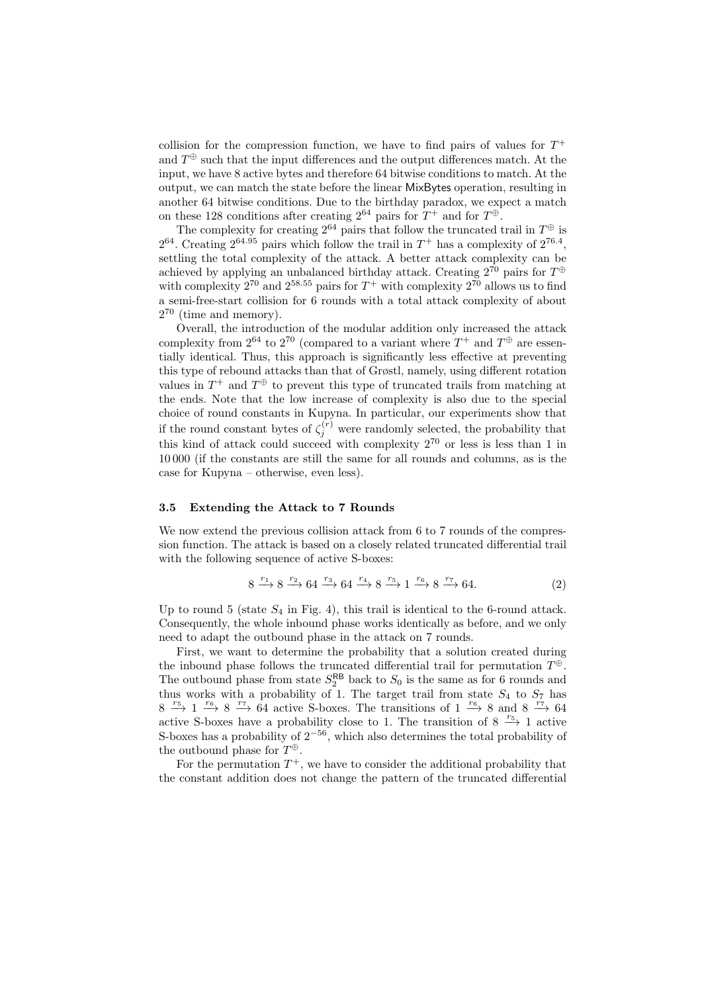collision for the compression function, we have to find pairs of values for  $T^+$ and  $T^{\oplus}$  such that the input differences and the output differences match. At the input, we have 8 active bytes and therefore 64 bitwise conditions to match. At the output, we can match the state before the linear MixBytes operation, resulting in another 64 bitwise conditions. Due to the birthday paradox, we expect a match on these 128 conditions after creating  $2^{64}$  pairs for  $T^+$  and for  $T^{\oplus}$ .

The complexity for creating  $2^{64}$  pairs that follow the truncated trail in  $T^{\oplus}$  is  $2^{64}$ . Creating  $2^{64.95}$  pairs which follow the trail in  $T^+$  has a complexity of  $2^{76.4}$ , settling the total complexity of the attack. A better attack complexity can be achieved by applying an unbalanced birthday attack. Creating  $2^{70}$  pairs for  $T^{\oplus}$ with complexity  $2^{70}$  and  $2^{58.55}$  pairs for  $T^+$  with complexity  $2^{70}$  allows us to find a semi-free-start collision for 6 rounds with a total attack complexity of about  $2^{70}$  (time and memory).

Overall, the introduction of the modular addition only increased the attack complexity from  $2^{64}$  to  $2^{70}$  (compared to a variant where  $T^+$  and  $T^{\oplus}$  are essentially identical. Thus, this approach is significantly less effective at preventing this type of rebound attacks than that of Grøstl, namely, using different rotation values in  $T^+$  and  $T^{\oplus}$  to prevent this type of truncated trails from matching at the ends. Note that the low increase of complexity is also due to the special choice of round constants in Kupyna. In particular, our experiments show that if the round constant bytes of  $\zeta_j^{(r)}$  were randomly selected, the probability that this kind of attack could succeed with complexity  $2^{70}$  or less is less than 1 in 10 000 (if the constants are still the same for all rounds and columns, as is the case for Kupyna – otherwise, even less).

#### 3.5 Extending the Attack to 7 Rounds

We now extend the previous collision attack from 6 to 7 rounds of the compression function. The attack is based on a closely related truncated differential trail with the following sequence of active S-boxes:

$$
8 \xrightarrow{r_1} 8 \xrightarrow{r_2} 64 \xrightarrow{r_3} 64 \xrightarrow{r_4} 8 \xrightarrow{r_5} 1 \xrightarrow{r_6} 8 \xrightarrow{r_7} 64. \tag{2}
$$

Up to round 5 (state  $S_4$  in Fig. 4), this trail is identical to the 6-round attack. Consequently, the whole inbound phase works identically as before, and we only need to adapt the outbound phase in the attack on 7 rounds.

First, we want to determine the probability that a solution created during the inbound phase follows the truncated differential trail for permutation  $T^{\oplus}$ . The outbound phase from state  $S_2^{\mathsf{RB}}$  back to  $S_0$  is the same as for 6 rounds and thus works with a probability of 1. The target trail from state  $S_4$  to  $S_7$  has  $8 \stackrel{r_5}{\longrightarrow} 1 \stackrel{r_6}{\longrightarrow} 8 \stackrel{r_7}{\longrightarrow} 64$  active S-boxes. The transitions of  $1 \stackrel{r_6}{\longrightarrow} 8$  and  $8 \stackrel{r_7}{\longrightarrow} 64$ active S-boxes have a probability close to 1. The transition of 8  $\frac{r_5}{\rightarrow}$  1 active S-boxes has a probability of  $2^{-56}$ , which also determines the total probability of the outbound phase for  $T^{\oplus}$ .

For the permutation  $T^+$ , we have to consider the additional probability that the constant addition does not change the pattern of the truncated differential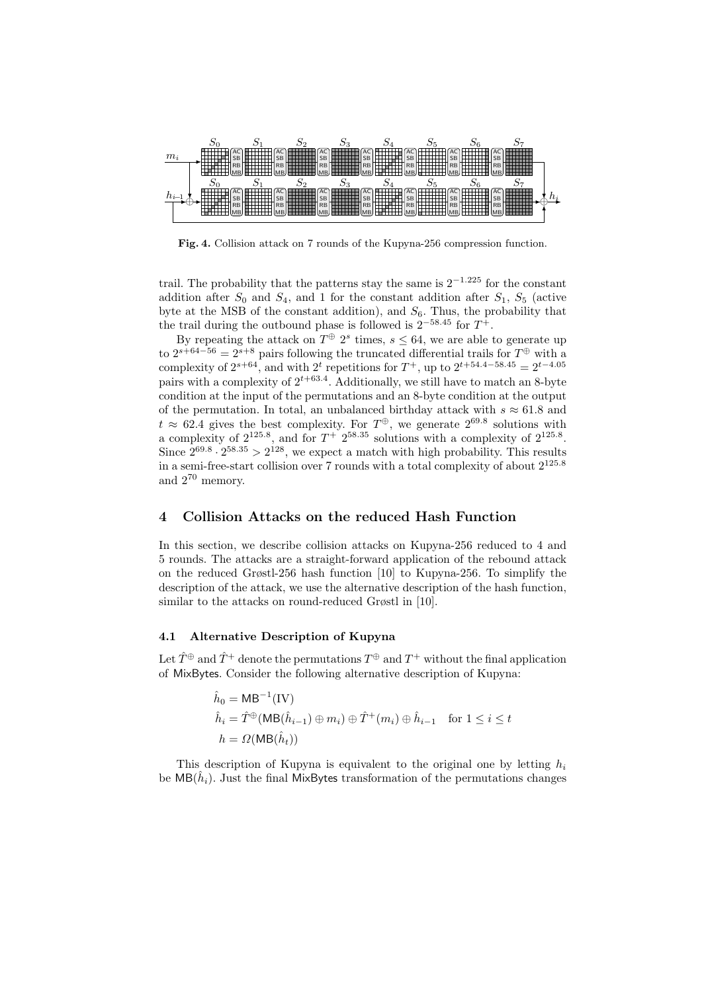

Fig. 4. Collision attack on 7 rounds of the Kupyna-256 compression function.

trail. The probability that the patterns stay the same is  $2^{-1.225}$  for the constant addition after  $S_0$  and  $S_4$ , and 1 for the constant addition after  $S_1$ ,  $S_5$  (active byte at the MSB of the constant addition), and  $S_6$ . Thus, the probability that the trail during the outbound phase is followed is  $2^{-58.45}$  for  $T^+$ .

By repeating the attack on  $T^{\oplus} 2^s$  times,  $s \leq 64$ , we are able to generate up to  $2^{s+64-56} = 2^{s+8}$  pairs following the truncated differential trails for  $T^{\oplus}$  with a complexity of  $2^{s+64}$ , and with  $2^t$  repetitions for  $T^+$ , up to  $2^{t+54.4-58.45} = 2^{t-4.05}$ pairs with a complexity of  $2^{t+63.4}$ . Additionally, we still have to match an 8-byte condition at the input of the permutations and an 8-byte condition at the output of the permutation. In total, an unbalanced birthday attack with  $s \approx 61.8$  and  $t \approx 62.4$  gives the best complexity. For  $T^{\oplus}$ , we generate  $2^{69.8}$  solutions with a complexity of  $2^{125.8}$ , and for  $T^+$   $2^{58.35}$  solutions with a complexity of  $2^{125.8}$ . Since  $2^{69.8} \cdot 2^{58.35} > 2^{128}$ , we expect a match with high probability. This results in a semi-free-start collision over 7 rounds with a total complexity of about  $2^{125.8}$ and 2<sup>70</sup> memory.

# 4 Collision Attacks on the reduced Hash Function

In this section, we describe collision attacks on Kupyna-256 reduced to 4 and 5 rounds. The attacks are a straight-forward application of the rebound attack on the reduced Grøstl-256 hash function [10] to Kupyna-256. To simplify the description of the attack, we use the alternative description of the hash function, similar to the attacks on round-reduced Grøstl in [10].

# 4.1 Alternative Description of Kupyna

Let  $\hat{T}^{\oplus}$  and  $\hat{T}^{+}$  denote the permutations  $T^{\oplus}$  and  $T^{+}$  without the final application of MixBytes. Consider the following alternative description of Kupyna:

$$
\hat{h}_0 = \mathsf{MB}^{-1}(\mathsf{IV})
$$
\n
$$
\hat{h}_i = \hat{T}^{\oplus}(\mathsf{MB}(\hat{h}_{i-1}) \oplus m_i) \oplus \hat{T}^+(m_i) \oplus \hat{h}_{i-1} \quad \text{for } 1 \le i \le t
$$
\n
$$
h = \Omega(\mathsf{MB}(\hat{h}_t))
$$

This description of Kupyna is equivalent to the original one by letting  $h_i$ be  $MB(\hat{h}_i)$ . Just the final MixBytes transformation of the permutations changes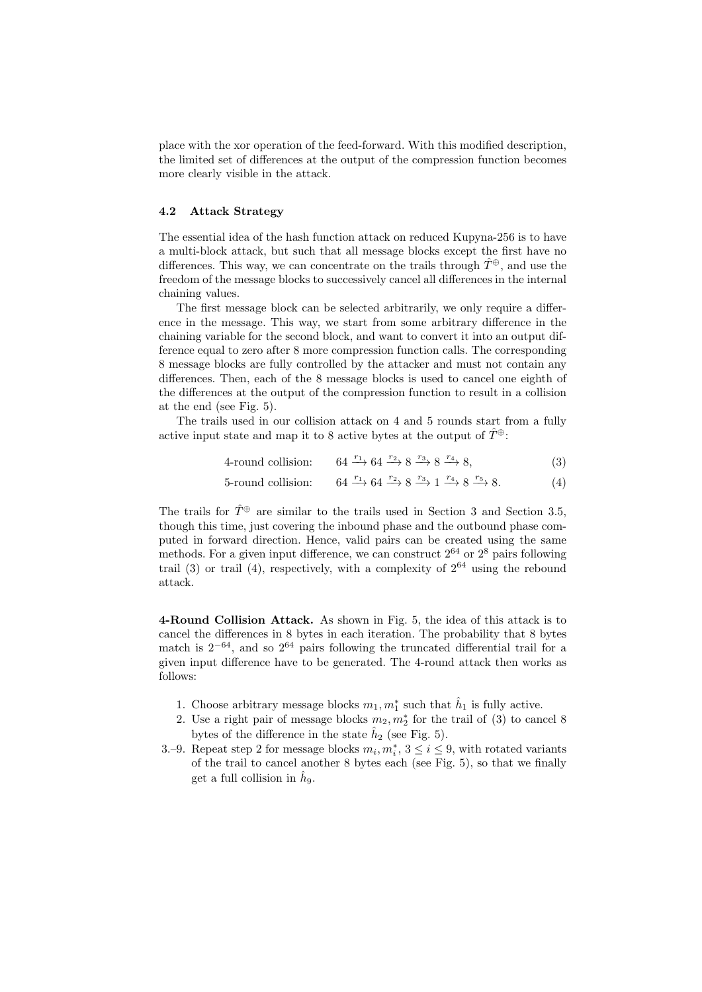place with the xor operation of the feed-forward. With this modified description, the limited set of differences at the output of the compression function becomes more clearly visible in the attack.

# 4.2 Attack Strategy

The essential idea of the hash function attack on reduced Kupyna-256 is to have a multi-block attack, but such that all message blocks except the first have no differences. This way, we can concentrate on the trails through  $\hat{T}^{\oplus}$ , and use the freedom of the message blocks to successively cancel all differences in the internal chaining values.

The first message block can be selected arbitrarily, we only require a difference in the message. This way, we start from some arbitrary difference in the chaining variable for the second block, and want to convert it into an output difference equal to zero after 8 more compression function calls. The corresponding 8 message blocks are fully controlled by the attacker and must not contain any differences. Then, each of the 8 message blocks is used to cancel one eighth of the differences at the output of the compression function to result in a collision at the end (see Fig. 5).

The trails used in our collision attack on 4 and 5 rounds start from a fully active input state and map it to 8 active bytes at the output of  $\hat{T}^{\oplus}$ :

- 4-round collision:  $64 \xrightarrow{r_1} 64 \xrightarrow{r_2} 8 \xrightarrow{r_3} 8 \xrightarrow{r_4} 8,$  (3)
- 5-round collision:  $\stackrel{r_3}{\longrightarrow} 1 \stackrel{r_4}{\longrightarrow} 8 \stackrel{r_5}{\longrightarrow} 8.$  (4)

The trails for  $\hat{T}^{\oplus}$  are similar to the trails used in Section 3 and Section 3.5, though this time, just covering the inbound phase and the outbound phase computed in forward direction. Hence, valid pairs can be created using the same methods. For a given input difference, we can construct  $2^{64}$  or  $2^8$  pairs following trail (3) or trail (4), respectively, with a complexity of  $2^{64}$  using the rebound attack.

4-Round Collision Attack. As shown in Fig. 5, the idea of this attack is to cancel the differences in 8 bytes in each iteration. The probability that 8 bytes match is  $2^{-64}$ , and so  $2^{64}$  pairs following the truncated differential trail for a given input difference have to be generated. The 4-round attack then works as follows:

- 1. Choose arbitrary message blocks  $m_1, m_1^*$  such that  $\hat{h}_1$  is fully active.
- 2. Use a right pair of message blocks  $m_2, m_2^*$  for the trail of (3) to cancel 8 bytes of the difference in the state  $\hat{h}_2$  (see Fig. 5).
- 3.−9. Repeat step 2 for message blocks  $m_i, m_i^*$ ,  $3 \le i \le 9$ , with rotated variants of the trail to cancel another 8 bytes each (see Fig. 5), so that we finally get a full collision in  $\hat{h}_9$ .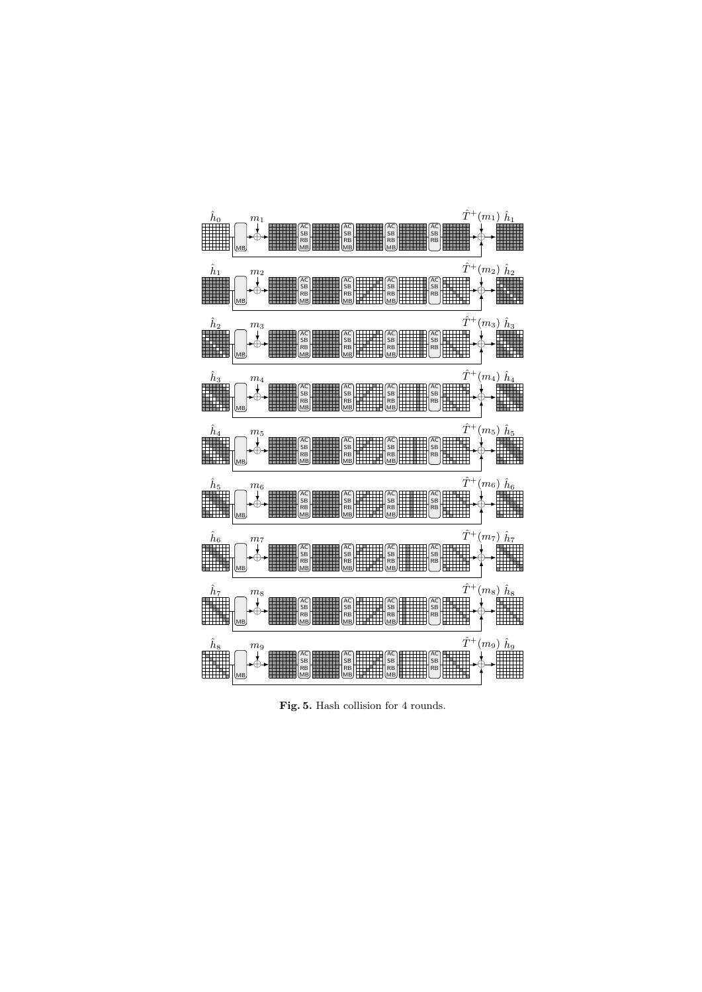

Fig. 5. Hash collision for 4 rounds.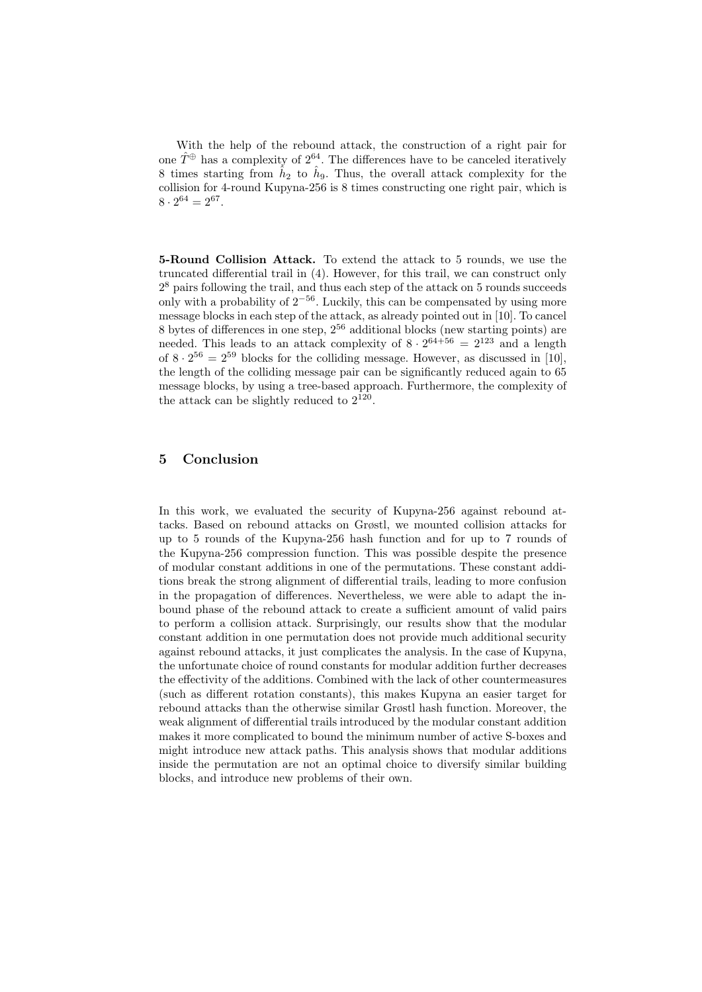With the help of the rebound attack, the construction of a right pair for one  $\hat{T}^{\oplus}$  has a complexity of  $2^{64}$ . The differences have to be canceled iteratively 8 times starting from  $\hat{h}_2$  to  $\hat{h}_9$ . Thus, the overall attack complexity for the collision for 4-round Kupyna-256 is 8 times constructing one right pair, which is  $8 \cdot 2^{64} = 2^{67}.$ 

5-Round Collision Attack. To extend the attack to 5 rounds, we use the truncated differential trail in (4). However, for this trail, we can construct only 2 <sup>8</sup> pairs following the trail, and thus each step of the attack on 5 rounds succeeds only with a probability of  $2^{-56}$ . Luckily, this can be compensated by using more message blocks in each step of the attack, as already pointed out in [10]. To cancel 8 bytes of differences in one step,  $2^{56}$  additional blocks (new starting points) are needed. This leads to an attack complexity of  $8 \cdot 2^{64+56} = 2^{123}$  and a length of  $8 \cdot 2^{56} = 2^{59}$  blocks for the colliding message. However, as discussed in [10], the length of the colliding message pair can be significantly reduced again to 65 message blocks, by using a tree-based approach. Furthermore, the complexity of the attack can be slightly reduced to  $2^{120}$ .

# 5 Conclusion

In this work, we evaluated the security of Kupyna-256 against rebound attacks. Based on rebound attacks on Grøstl, we mounted collision attacks for up to 5 rounds of the Kupyna-256 hash function and for up to 7 rounds of the Kupyna-256 compression function. This was possible despite the presence of modular constant additions in one of the permutations. These constant additions break the strong alignment of differential trails, leading to more confusion in the propagation of differences. Nevertheless, we were able to adapt the inbound phase of the rebound attack to create a sufficient amount of valid pairs to perform a collision attack. Surprisingly, our results show that the modular constant addition in one permutation does not provide much additional security against rebound attacks, it just complicates the analysis. In the case of Kupyna, the unfortunate choice of round constants for modular addition further decreases the effectivity of the additions. Combined with the lack of other countermeasures (such as different rotation constants), this makes Kupyna an easier target for rebound attacks than the otherwise similar Grøstl hash function. Moreover, the weak alignment of differential trails introduced by the modular constant addition makes it more complicated to bound the minimum number of active S-boxes and might introduce new attack paths. This analysis shows that modular additions inside the permutation are not an optimal choice to diversify similar building blocks, and introduce new problems of their own.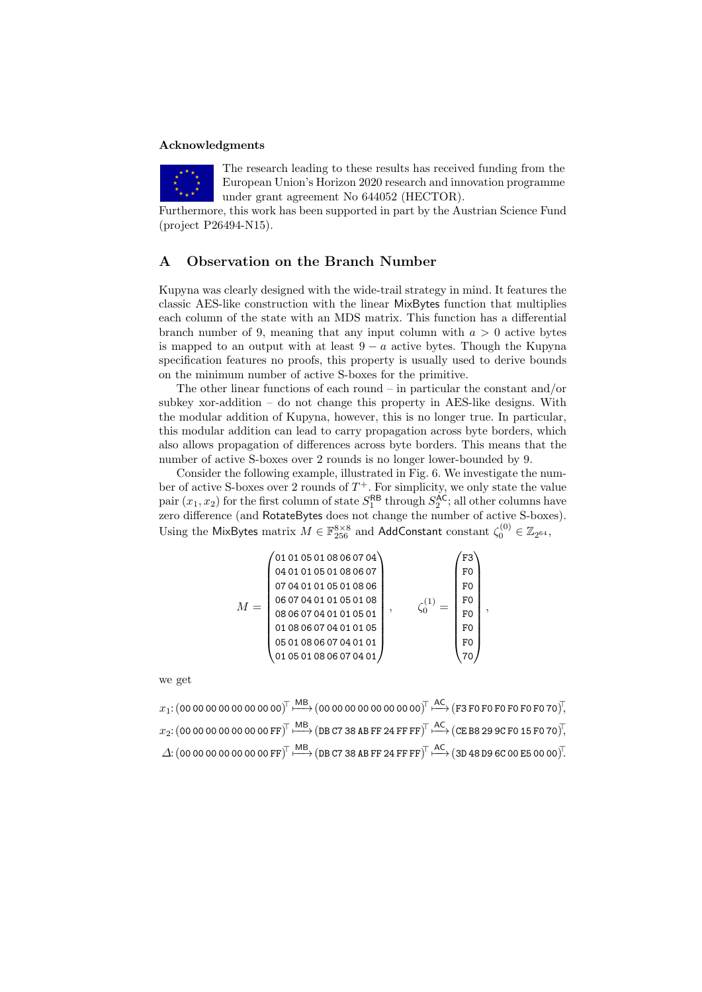#### Acknowledgments



The research leading to these results has received funding from the European Union's Horizon 2020 research and innovation programme under grant agreement No 644052 (HECTOR).

Furthermore, this work has been supported in part by the Austrian Science Fund (project P26494-N15).

# A Observation on the Branch Number

Kupyna was clearly designed with the wide-trail strategy in mind. It features the classic AES-like construction with the linear MixBytes function that multiplies each column of the state with an MDS matrix. This function has a differential branch number of 9, meaning that any input column with  $a > 0$  active bytes is mapped to an output with at least  $9 - a$  active bytes. Though the Kupyna specification features no proofs, this property is usually used to derive bounds on the minimum number of active S-boxes for the primitive.

The other linear functions of each round – in particular the constant and/or subkey xor-addition  $-$  do not change this property in AES-like designs. With the modular addition of Kupyna, however, this is no longer true. In particular, this modular addition can lead to carry propagation across byte borders, which also allows propagation of differences across byte borders. This means that the number of active S-boxes over 2 rounds is no longer lower-bounded by 9.

Consider the following example, illustrated in Fig. 6. We investigate the number of active S-boxes over 2 rounds of  $T^+$ . For simplicity, we only state the value pair  $(x_1, x_2)$  for the first column of state  $S_1^{\mathsf{RB}}$  through  $S_2^{\mathsf{AC}}$ ; all other columns have zero difference (and RotateBytes does not change the number of active S-boxes). Using the MixBytes matrix  $M\in \mathbb{F}_{256}^{8\times 8}$  and AddConstant constant  $\zeta_0^{(0)}\in \mathbb{Z}_{2^{64}},$ 

$$
M = \left(\begin{matrix} 01\ 01\ 05\ 01\ 08\ 06\ 07\ 04\ 01\ 01\ 05\ 01\ 08\ 06\ 07 \end{matrix}\right), \quad \left(\begin{matrix} F3 \\ F0 \\ F0 \\ F0 \\ F0 \\ 08\ 06\ 07\ 04\ 01\ 01\ 05\ 01\ 08 \\ 08\ 06\ 07\ 04\ 01\ 01\ 05\ 01 \\ 01\ 08\ 06\ 07\ 04\ 01\ 01\ 05 \\ 01\ 08\ 06\ 07\ 04\ 01\ 01 \\ 01\ 05\ 01\ 08\ 06\ 07\ 04\ 01\ 01 \end{matrix}\right), \quad \left(\begin{matrix} F3 \\ F0 \\ F0 \\ F0 \\ F0 \\ F0 \\ F0 \\ 01 \end{matrix}\right),
$$

we get

 $x_1$ : (00 00 00 00 00 00 00 00 $^\top$   $\stackrel{\mathsf{MB}}{\longmapsto}$  (00 00 00 00 00 00 00 00) $^\top$   $\stackrel{\mathsf{AC}}{\longmapsto}$  (F3 F0 F0 F0 F0 F0 70) $^\top$ ,  $x_2$ : (00 00 00 00 00 00 00  $\mathrm{PF}$  ) $\overline{\parallel}$   $\stackrel{\mathsf{MB}}{\longrightarrow}$  (DB C7 38 AB FF 24 FF FF)  $\overline{\parallel}$   $\stackrel{\mathsf{AC}}{\longmapsto}$  (CE B8 29 9C F0 15 F0 70) ,  $\varDelta$ : (00 00 00 00 00 00 00  $\mathsf{PF} )^{\!\top}$   $\stackrel{\mathsf{MB}}{\longmapsto}$  (DB C7 38 AB FF 24 FF FF) $^\top$   $\stackrel{\mathsf{AC}}{\longmapsto}$  (3D 48 D9 6C 00 E5 00 00) $^\top$